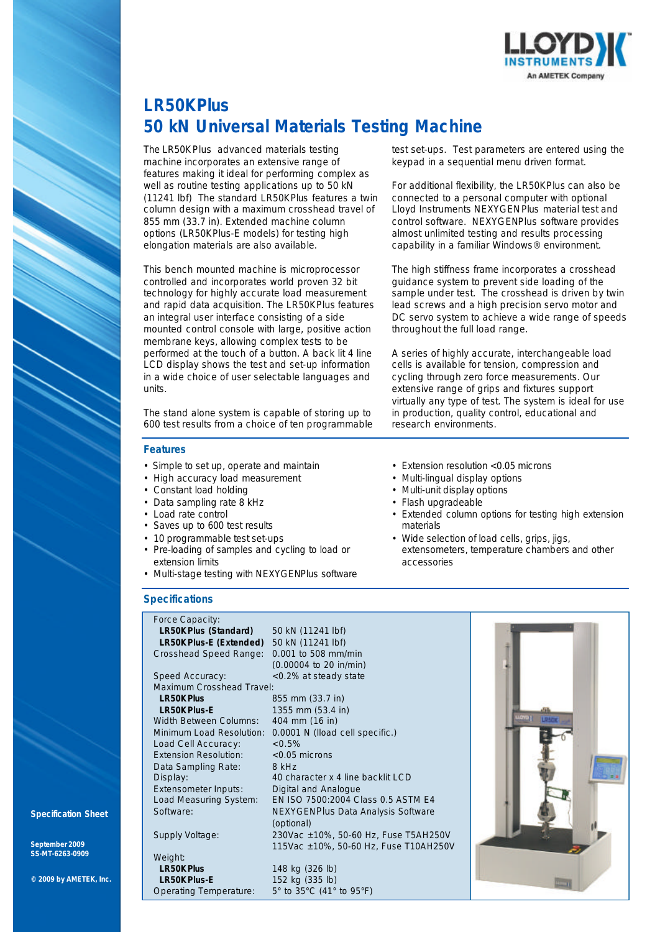

# **LR50K***Plus* **50 kN Universal Materials Testing Machine**

The LR50K*Plus* advanced materials testing machine incorporates an extensive range of features making it ideal for performing complex as well as routine testing applications up to 50 kN (11241 lbf) The standard LR50K*Plus* features a twin column design with a maximum crosshead travel of 855 mm (33.7 in). Extended machine column options (LR50K*Plus-*E models) for testing high elongation materials are also available.

This bench mounted machine is microprocessor controlled and incorporates world proven 32 bit technology for highly accurate load measurement and rapid data acquisition. The LR50K*Plus* features an integral user interface consisting of a side mounted control console with large, positive action membrane keys, allowing complex tests to be performed at the touch of a button. A back lit 4 line LCD display shows the test and set-up information in a wide choice of user selectable languages and units.

The stand alone system is capable of storing up to 600 test results from a choice of ten programmable

## **Features**

- Simple to set up, operate and maintain
- High accuracy load measurement
- Constant load holding
- Data sampling rate 8 kHz
- Load rate control
- Saves up to 600 test results
- 10 programmable test set-ups
- Pre-loading of samples and cycling to load or extension limits
- Multi-stage testing with NEXYGEN*Plus* software

## **Specifications**

| Force Capacity:              |                                       |
|------------------------------|---------------------------------------|
| LR50K Plus (Standard)        | 50 kN (11241 lbf)                     |
| LR50K Plus-E (Extended)      | 50 kN (11241 lbf)                     |
| Crosshead Speed Range:       | 0.001 to 508 mm/min                   |
|                              | $(0.00004$ to 20 in/min)              |
| Speed Accuracy:              | <0.2% at steady state                 |
| Maximum Crosshead Travel:    |                                       |
| <b>LR50K Plus</b>            | 855 mm (33.7 in)                      |
| <b>LR50K Plus-E</b>          | 1355 mm (53.4 in)                     |
| Width Between Columns:       | 404 mm (16 in)                        |
| Minimum Load Resolution:     | 0.0001 N (lload cell specific.)       |
| Load Cell Accuracy:          | $< 0.5\%$                             |
| <b>Extension Resolution:</b> | <0.05 microns                         |
| Data Sampling Rate:          | 8 kHz                                 |
| Display:                     | 40 character x 4 line backlit LCD     |
| Extensometer Inputs:         | Digital and Analogue                  |
| Load Measuring System:       | EN ISO 7500:2004 Class 0.5 ASTM E4    |
| Software:                    | NEXYGENPlus Data Analysis Software    |
|                              | (optional)                            |
| Supply Voltage:              | 230Vac ±10%, 50-60 Hz, Fuse T5AH250V  |
|                              | 115Vac ±10%, 50-60 Hz, Fuse T10AH250V |
| Weight:                      |                                       |
| <b>LR50K Plus</b>            | 148 kg (326 lb)                       |
| <b>LR50K Plus-E</b>          | 152 kg (335 lb)                       |
| Operating Temperature:       | 5° to 35°C (41° to 95°F)              |

test set-ups. Test parameters are entered using the keypad in a sequential menu driven format.

For additional flexibility, the LR50K*Plus* can also be connected to a personal computer with optional Lloyd Instruments NEXYGEN*Plus* material test and control software. NEXYGEN*Plus* software provides almost unlimited testing and results processing capability in a familiar Windows® environment.

The high stiffness frame incorporates a crosshead guidance system to prevent side loading of the sample under test. The crosshead is driven by twin lead screws and a high precision servo motor and DC servo system to achieve a wide range of speeds throughout the full load range.

A series of highly accurate, interchangeable load cells is available for tension, compression and cycling through zero force measurements. Our extensive range of grips and fixtures support virtually any type of test. The system is ideal for use in production, quality control, educational and research environments.

- Extension resolution < 0.05 microns
- Multi-lingual display options
- Multi-unit display options
- Flash upgradeable
- Extended column options for testing high extension materials
- Wide selection of load cells, grips, jigs, extensometers, temperature chambers and other accessories



#### **Specification Sheet**

**September 2009 SS-MT-6263-0909**

**© 2009 by AMETEK, Inc.**